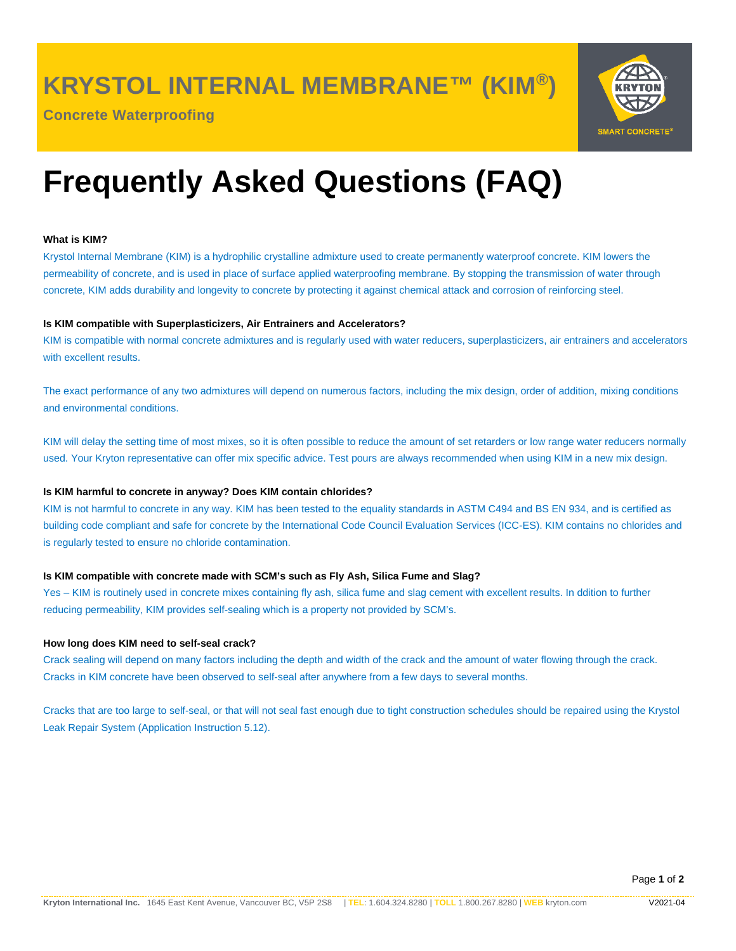**KRYSTOL INTERNAL MEMBRANE™ (KIM®)**

**Concrete Waterproofing**



# **Frequently Asked Questions (FAQ)**

## **What is KIM?**

Krystol Internal Membrane (KIM) is a hydrophilic crystalline admixture used to create permanently waterproof concrete. KIM lowers the permeability of concrete, and is used in place of surface applied waterproofing membrane. By stopping the transmission of water through concrete, KIM adds durability and longevity to concrete by protecting it against chemical attack and corrosion of reinforcing steel.

## **Is KIM compatible with Superplasticizers, Air Entrainers and Accelerators?**

KIM is compatible with normal concrete admixtures and is regularly used with water reducers, superplasticizers, air entrainers and accelerators with excellent results.

The exact performance of any two admixtures will depend on numerous factors, including the mix design, order of addition, mixing conditions and environmental conditions.

KIM will delay the setting time of most mixes, so it is often possible to reduce the amount of set retarders or low range water reducers normally used. Your Kryton representative can offer mix specific advice. Test pours are always recommended when using KIM in a new mix design.

## **Is KIM harmful to concrete in anyway? Does KIM contain chlorides?**

KIM is not harmful to concrete in any way. KIM has been tested to the equality standards in ASTM C494 and BS EN 934, and is certified as building code compliant and safe for concrete by the International Code Council Evaluation Services (ICC-ES). KIM contains no chlorides and is regularly tested to ensure no chloride contamination.

## **Is KIM compatible with concrete made with SCM's such as Fly Ash, Silica Fume and Slag?**

Yes – KIM is routinely used in concrete mixes containing fly ash, silica fume and slag cement with excellent results. In ddition to further reducing permeability, KIM provides self-sealing which is a property not provided by SCM's.

## **How long does KIM need to self-seal crack?**

Crack sealing will depend on many factors including the depth and width of the crack and the amount of water flowing through the crack. Cracks in KIM concrete have been observed to self-seal after anywhere from a few days to several months.

Cracks that are too large to self-seal, or that will not seal fast enough due to tight construction schedules should be repaired using the Krystol Leak Repair System (Application Instruction 5.12).